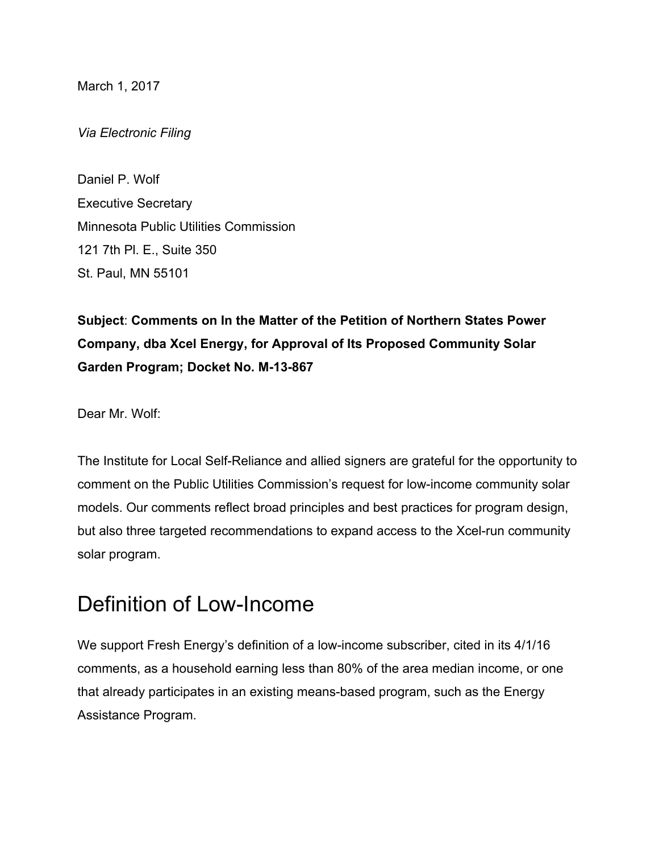March 1, 2017

*Via Electronic Filing*

Daniel P. Wolf Executive Secretary Minnesota Public Utilities Commission 121 7th Pl. E., Suite 350 St. Paul, MN 55101

**Subject**: **Comments on In the Matter of the Petition of Northern States Power Company, dba Xcel Energy, for Approval of Its Proposed Community Solar Garden Program; Docket No. M-13-867**

Dear Mr. Wolf:

The Institute for Local Self-Reliance and allied signers are grateful for the opportunity to comment on the Public Utilities Commission's request for low-income community solar models. Our comments reflect broad principles and best practices for program design, but also three targeted recommendations to expand access to the Xcel-run community solar program.

## Definition of Low-Income

We support Fresh Energy's definition of a low-income subscriber, cited in its 4/1/16 comments, as a household earning less than 80% of the area median income, or one that already participates in an existing means-based program, such as the Energy Assistance Program.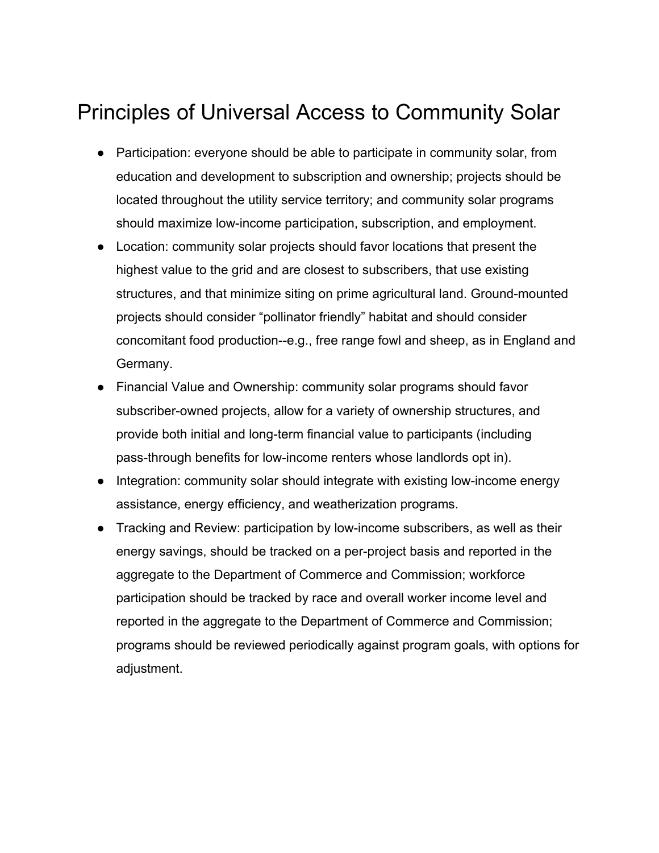# Principles of Universal Access to Community Solar

- Participation: everyone should be able to participate in community solar, from education and development to subscription and ownership; projects should be located throughout the utility service territory; and community solar programs should maximize low-income participation, subscription, and employment.
- Location: community solar projects should favor locations that present the highest value to the grid and are closest to subscribers, that use existing structures, and that minimize siting on prime agricultural land. Ground-mounted projects should consider "pollinator friendly" habitat and should consider concomitant food production--e.g., free range fowl and sheep, as in England and Germany.
- Financial Value and Ownership: community solar programs should favor subscriber-owned projects, allow for a variety of ownership structures, and provide both initial and long-term financial value to participants (including pass-through benefits for low-income renters whose landlords opt in).
- Integration: community solar should integrate with existing low-income energy assistance, energy efficiency, and weatherization programs.
- Tracking and Review: participation by low-income subscribers, as well as their energy savings, should be tracked on a per-project basis and reported in the aggregate to the Department of Commerce and Commission; workforce participation should be tracked by race and overall worker income level and reported in the aggregate to the Department of Commerce and Commission; programs should be reviewed periodically against program goals, with options for adjustment.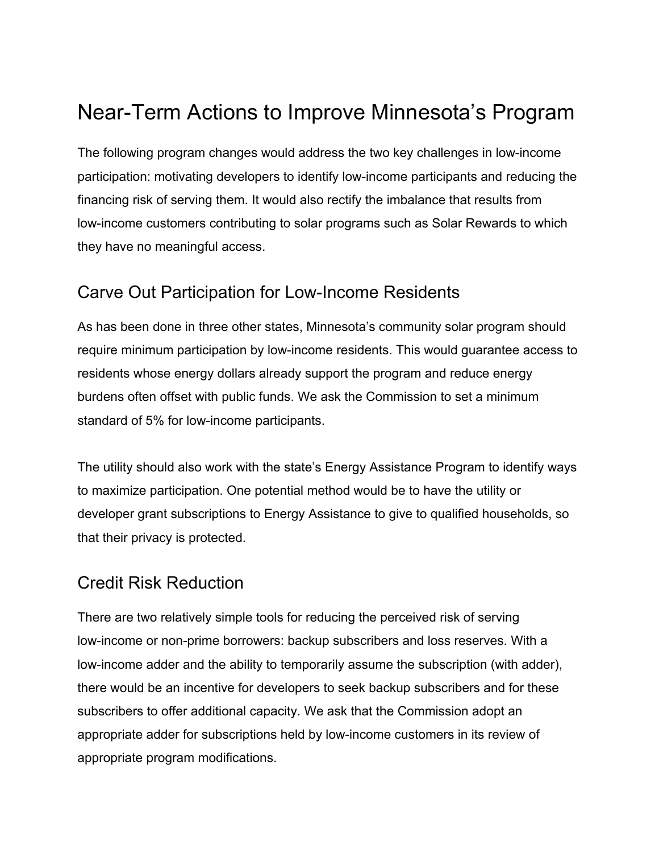# Near-Term Actions to Improve Minnesota's Program

The following program changes would address the two key challenges in low-income participation: motivating developers to identify low-income participants and reducing the financing risk of serving them. It would also rectify the imbalance that results from low-income customers contributing to solar programs such as Solar Rewards to which they have no meaningful access.

### Carve Out Participation for Low-Income Residents

As has been done in three other states, Minnesota's community solar program should require minimum participation by low-income residents. This would guarantee access to residents whose energy dollars already support the program and reduce energy burdens often offset with public funds. We ask the Commission to set a minimum standard of 5% for low-income participants.

The utility should also work with the state's Energy Assistance Program to identify ways to maximize participation. One potential method would be to have the utility or developer grant subscriptions to Energy Assistance to give to qualified households, so that their privacy is protected.

### Credit Risk Reduction

There are two relatively simple tools for reducing the perceived risk of serving low-income or non-prime borrowers: backup subscribers and loss reserves. With a low-income adder and the ability to temporarily assume the subscription (with adder), there would be an incentive for developers to seek backup subscribers and for these subscribers to offer additional capacity. We ask that the Commission adopt an appropriate adder for subscriptions held by low-income customers in its review of appropriate program modifications.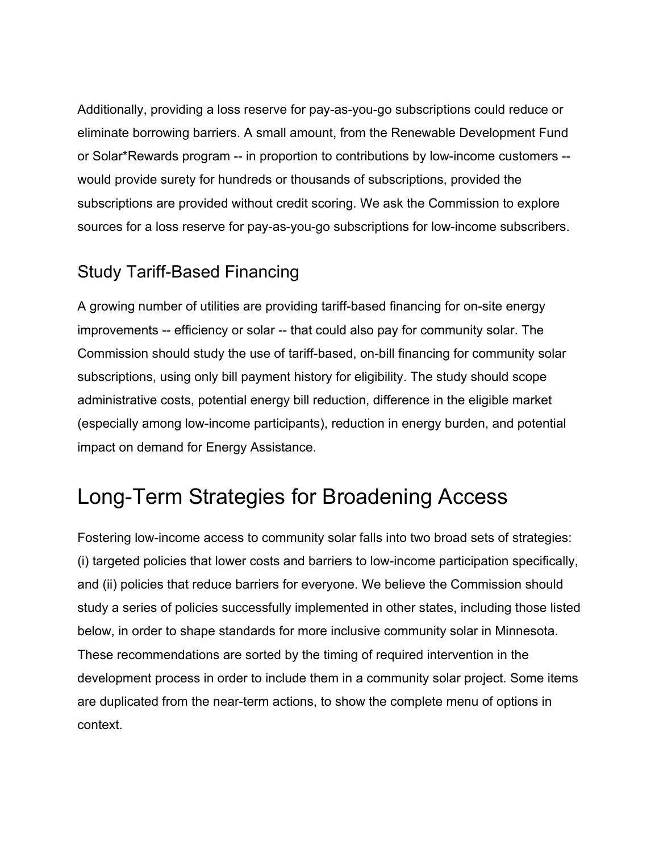Additionally, providing a loss reserve for pay-as-you-go subscriptions could reduce or eliminate borrowing barriers. A small amount, from the Renewable Development Fund or Solar\*Rewards program -- in proportion to contributions by low-income customers - would provide surety for hundreds or thousands of subscriptions, provided the subscriptions are provided without credit scoring. We ask the Commission to explore sources for a loss reserve for pay-as-you-go subscriptions for low-income subscribers.

### Study Tariff-Based Financing

A growing number of utilities are providing tariff-based financing for on-site energy improvements -- efficiency or solar -- that could also pay for community solar. The Commission should study the use of tariff-based, on-bill financing for community solar subscriptions, using only bill payment history for eligibility. The study should scope administrative costs, potential energy bill reduction, difference in the eligible market (especially among low-income participants), reduction in energy burden, and potential impact on demand for Energy Assistance.

## Long-Term Strategies for Broadening Access

Fostering low-income access to community solar falls into two broad sets of strategies: (i) targeted policies that lower costs and barriers to low-income participation specifically, and (ii) policies that reduce barriers for everyone. We believe the Commission should study a series of policies successfully implemented in other states, including those listed below, in order to shape standards for more inclusive community solar in Minnesota. These recommendations are sorted by the timing of required intervention in the development process in order to include them in a community solar project. Some items are duplicated from the near-term actions, to show the complete menu of options in context.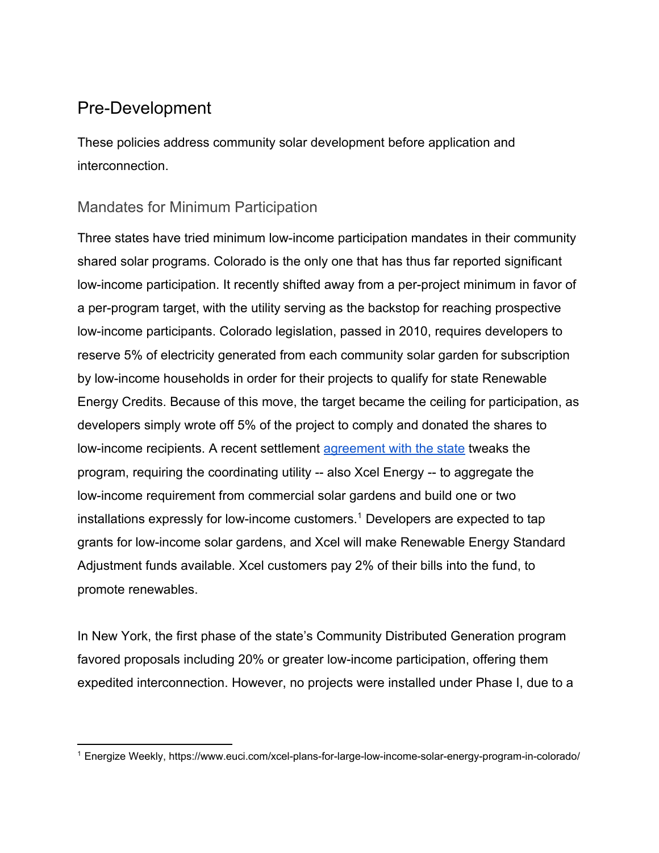## Pre-Development

These policies address community solar development before application and interconnection.

#### Mandates for Minimum Participation

Three states have tried minimum low-income participation mandates in their community shared solar programs. Colorado is the only one that has thus far reported significant low-income participation. It recently shifted away from a per-project minimum in favor of a per-program target, with the utility serving as the backstop for reaching prospective low-income participants. Colorado legislation, passed in 2010, requires developers to reserve 5% of electricity generated from each community solar garden for subscription by low-income households in order for their projects to qualify for state Renewable Energy Credits. Because of this move, the target became the ceiling for participation, as developers simply wrote off 5% of the project to comply and donated the shares to low-income recipients. A recent settlement [agreement with the state](https://www.euci.com/xcel-plans-for-large-low-income-solar-energy-program-in-colorado/) tweaks the program, requiring the coordinating utility -- also Xcel Energy -- to aggregate the low-income requirement from commercial solar gardens and build one or two installations expressly for low-income customers.<sup>1</sup> Developers are expected to tap grants for low-income solar gardens, and Xcel will make Renewable Energy Standard Adjustment funds available. Xcel customers pay 2% of their bills into the fund, to promote renewables.

In New York, the first phase of the state's Community Distributed Generation program favored proposals including 20% or greater low-income participation, offering them expedited interconnection. However, no projects were installed under Phase I, due to a

<sup>1</sup> Energize Weekly, https://www.euci.com/xcel-plans-for-large-low-income-solar-energy-program-in-colorado/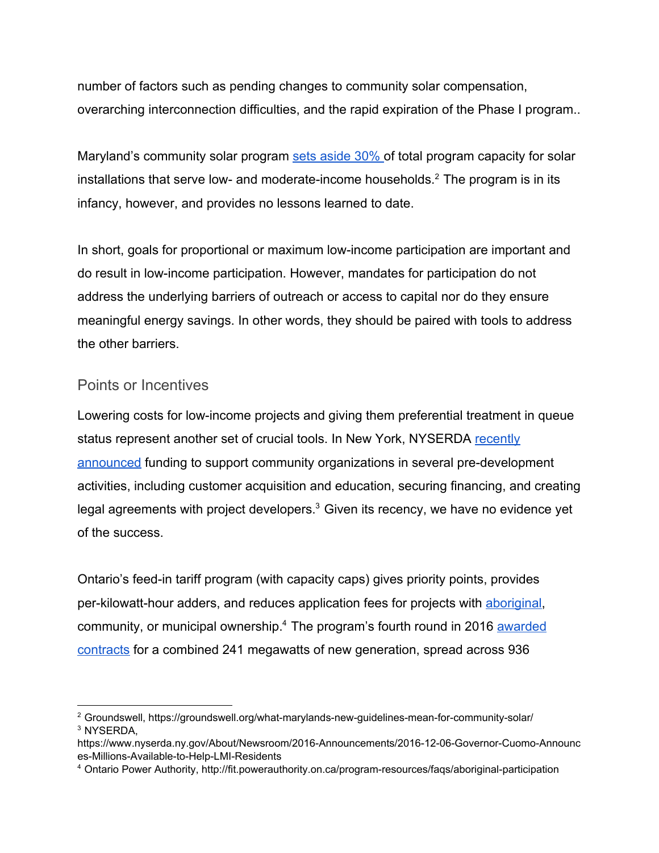number of factors such as pending changes to community solar compensation, overarching interconnection difficulties, and the rapid expiration of the Phase I program..

Maryland's community solar program [sets aside 30% o](http://groundswell.org/what-marylands-new-guidelines-mean-for-community-solar/)f total program capacity for solar installations that serve low- and moderate-income households.<sup>2</sup> The program is in its infancy, however, and provides no lessons learned to date.

In short, goals for proportional or maximum low-income participation are important and do result in low-income participation. However, mandates for participation do not address the underlying barriers of outreach or access to capital nor do they ensure meaningful energy savings. In other words, they should be paired with tools to address the other barriers.

#### Points or Incentives

Lowering costs for low-income projects and giving them preferential treatment in queue status represent another set of crucial tools. In New York, NYSERDA [recently](https://www.nyserda.ny.gov/About/Newsroom/2016-Announcements/2016-12-06-Governor-Cuomo-Announces-Millions-Available-to-Help-LMI-Residents) [announced](https://www.nyserda.ny.gov/About/Newsroom/2016-Announcements/2016-12-06-Governor-Cuomo-Announces-Millions-Available-to-Help-LMI-Residents) funding to support community organizations in several pre-development activities, including customer acquisition and education, securing financing, and creating legal agreements with project developers.<sup>3</sup> Given its recency, we have no evidence yet of the success.

Ontario's feed-in tariff program (with capacity caps) gives priority points, provides per-kilowatt-hour adders, and reduces application fees for projects with [aboriginal,](http://fit.powerauthority.on.ca/program-resources/faqs/aboriginal-participation) community, or municipal ownership.<sup>4</sup> The program's fourth round in 2016 [awarded](http://fit.powerauthority.on.ca/newsroom/newsroom-2016/June-29-2016-Contracts-Offered-for-FIT-4) [contracts](http://fit.powerauthority.on.ca/newsroom/newsroom-2016/June-29-2016-Contracts-Offered-for-FIT-4) for a combined 241 megawatts of new generation, spread across 936

<sup>&</sup>lt;sup>2</sup> Groundswell, https://groundswell.org/what-marylands-new-guidelines-mean-for-community-solar/ 3 NYSERDA,

https://www.nyserda.ny.gov/About/Newsroom/2016-Announcements/2016-12-06-Governor-Cuomo-Announc es-Millions-Available-to-Help-LMI-Residents

<sup>4</sup> Ontario Power Authority, http://fit.powerauthority.on.ca/program-resources/faqs/aboriginal-participation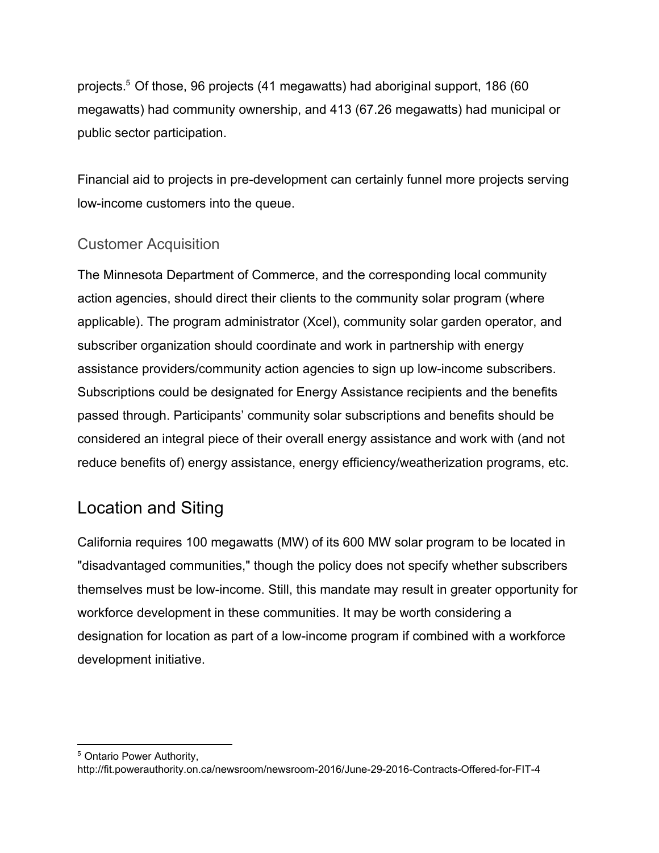projects.<sup>5</sup> Of those, 96 projects (41 megawatts) had aboriginal support, 186 (60 megawatts) had community ownership, and 413 (67.26 megawatts) had municipal or public sector participation.

Financial aid to projects in pre-development can certainly funnel more projects serving low-income customers into the queue.

#### Customer Acquisition

The Minnesota Department of Commerce, and the corresponding local community action agencies, should direct their clients to the community solar program (where applicable). The program administrator (Xcel), community solar garden operator, and subscriber organization should coordinate and work in partnership with energy assistance providers/community action agencies to sign up low-income subscribers. Subscriptions could be designated for Energy Assistance recipients and the benefits passed through. Participants' community solar subscriptions and benefits should be considered an integral piece of their overall energy assistance and work with (and not reduce benefits of) energy assistance, energy efficiency/weatherization programs, etc.

### Location and Siting

California requires 100 megawatts (MW) of its 600 MW solar program to be located in "disadvantaged communities," though the policy does not specify whether subscribers themselves must be low-income. Still, this mandate may result in greater opportunity for workforce development in these communities. It may be worth considering a designation for location as part of a low-income program if combined with a workforce development initiative.

<sup>5</sup> Ontario Power Authority,

http://fit.powerauthority.on.ca/newsroom/newsroom-2016/June-29-2016-Contracts-Offered-for-FIT-4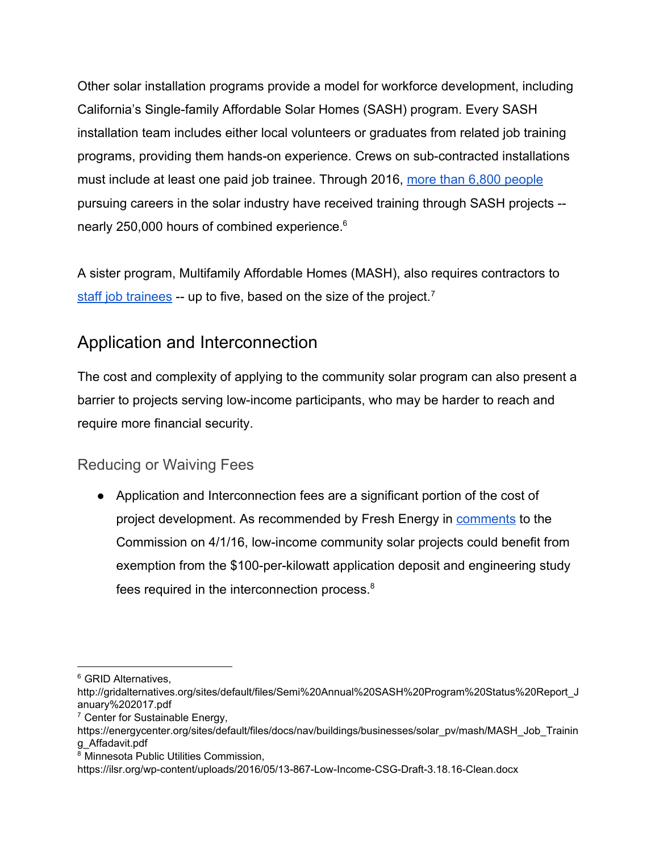Other solar installation programs provide a model for workforce development, including California's Single-family Affordable Solar Homes (SASH) program. Every SASH installation team includes either local volunteers or graduates from related job training programs, providing them hands-on experience. Crews on sub-contracted installations must include at least one paid job trainee. Through 2016, [more than 6,800 people](http://gridalternatives.org/sites/default/files/Semi%20Annual%20SASH%20Program%20Status%20Report_January%202017.pdf) pursuing careers in the solar industry have received training through SASH projects - nearly 250,000 hours of combined experience.<sup>6</sup>

A sister program, Multifamily Affordable Homes (MASH), also requires contractors to [staff job trainees](https://energycenter.org/sites/default/files/docs/nav/buildings/businesses/solar_pv/mash/MASH_Job_Training_Affadavit.pdf) -- up to five, based on the size of the project.<sup>7</sup>

## Application and Interconnection

The cost and complexity of applying to the community solar program can also present a barrier to projects serving low-income participants, who may be harder to reach and require more financial security.

#### Reducing or Waiving Fees

● Application and Interconnection fees are a significant portion of the cost of project development. As recommended by Fresh Energy in [comments](https://ilsr.org/wp-content/uploads/2016/05/13-867-Low-Income-CSG-Draft-3.18.16-Clean.docx) to the Commission on 4/1/16, low-income community solar projects could benefit from exemption from the \$100-per-kilowatt application deposit and engineering study fees required in the interconnection process.<sup>8</sup>

<sup>&</sup>lt;sup>6</sup> GRID Alternatives,

http://gridalternatives.org/sites/default/files/Semi%20Annual%20SASH%20Program%20Status%20Report\_J anuary%202017.pdf

<sup>&</sup>lt;sup>7</sup> Center for Sustainable Energy,

https://energycenter.org/sites/default/files/docs/nav/buildings/businesses/solar\_pv/mash/MASH\_Job\_Trainin g\_Affadavit.pdf

<sup>8</sup> Minnesota Public Utilities Commission,

https://ilsr.org/wp-content/uploads/2016/05/13-867-Low-Income-CSG-Draft-3.18.16-Clean.docx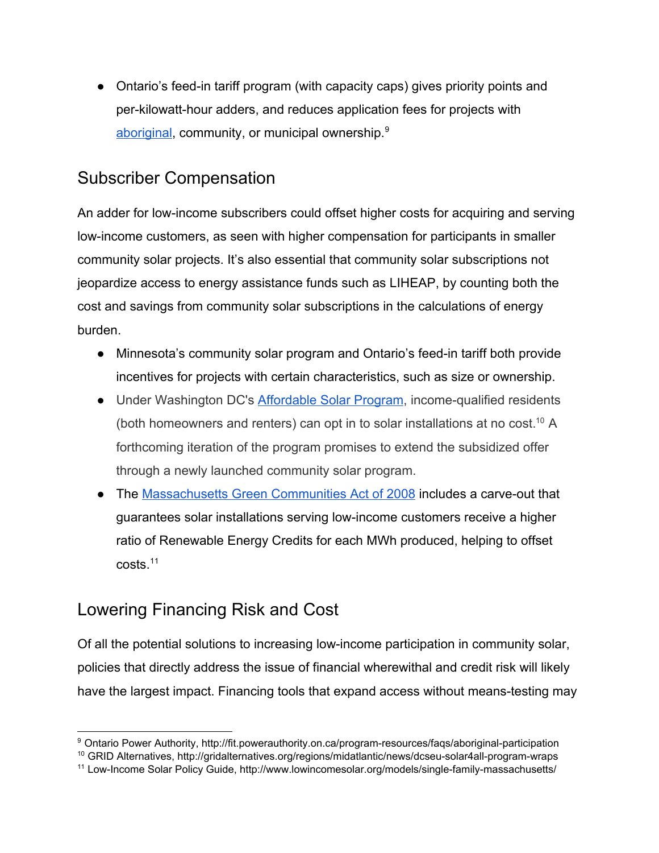● Ontario's feed-in tariff program (with capacity caps) gives priority points and per-kilowatt-hour adders, and reduces application fees for projects with [aboriginal,](http://fit.powerauthority.on.ca/program-resources/faqs/aboriginal-participation) community, or municipal ownership.<sup>9</sup>

## Subscriber Compensation

An adder for low-income subscribers could offset higher costs for acquiring and serving low-income customers, as seen with higher compensation for participants in smaller community solar projects. It's also essential that community solar subscriptions not jeopardize access to energy assistance funds such as LIHEAP, by counting both the cost and savings from community solar subscriptions in the calculations of energy burden.

- Minnesota's community solar program and Ontario's feed-in tariff both provide incentives for projects with certain characteristics, such as size or ownership.
- Under Washington DC's [Affordable Solar Program,](http://gridalternatives.org/regions/midatlantic/news/dcseu-solar4all-program-wraps) income-qualified residents (both homeowners and renters) can opt in to solar installations at no cost.<sup>10</sup> A forthcoming iteration of the program promises to extend the subsidized offer through a newly launched community solar program.
- The [Massachusetts Green Communities Act of 2008](http://www.lowincomesolar.org/models/single-family-massachusetts/) includes a carve-out that guarantees solar installations serving low-income customers receive a higher ratio of Renewable Energy Credits for each MWh produced, helping to offset costs.<sup>11</sup>

## Lowering Financing Risk and Cost

Of all the potential solutions to increasing low-income participation in community solar, policies that directly address the issue of financial wherewithal and credit risk will likely have the largest impact. Financing tools that expand access without means-testing may

<sup>9</sup> Ontario Power Authority, http://fit.powerauthority.on.ca/program-resources/faqs/aboriginal-participation

<sup>10</sup> GRID Alternatives, http://gridalternatives.org/regions/midatlantic/news/dcseu-solar4all-program-wraps

<sup>11</sup> Low-Income Solar Policy Guide, http://www.lowincomesolar.org/models/single-family-massachusetts/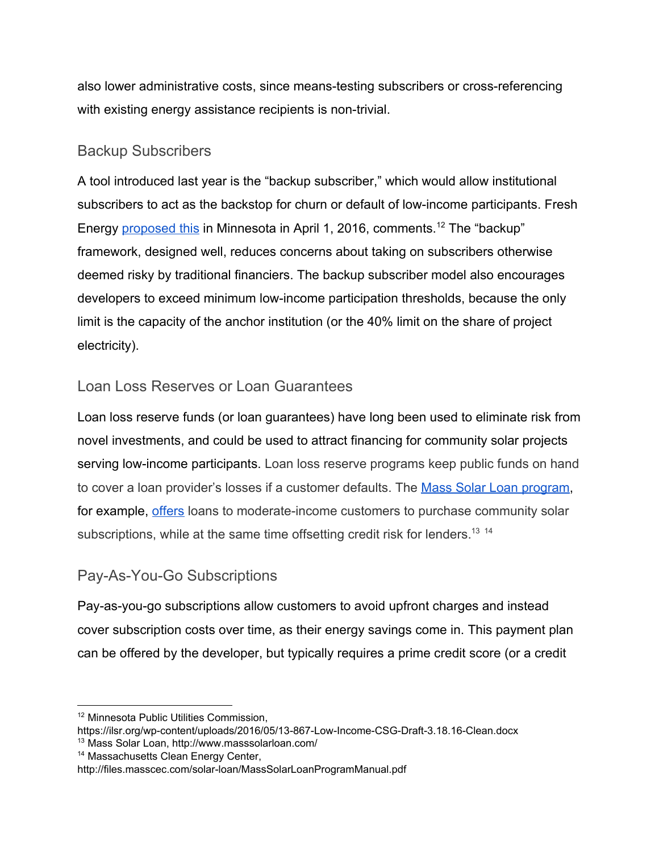also lower administrative costs, since means-testing subscribers or cross-referencing with existing energy assistance recipients is non-trivial.

#### Backup Subscribers

A tool introduced last year is the "backup subscriber," which would allow institutional subscribers to act as the backstop for churn or default of low-income participants. Fresh Energy [proposed this](https://ilsr.org/wp-content/uploads/2016/05/13-867-Low-Income-CSG-Draft-3.18.16-Clean.docx) in Minnesota in April 1, 2016, comments.<sup>12</sup> The "backup" framework, designed well, reduces concerns about taking on subscribers otherwise deemed risky by traditional financiers. The backup subscriber model also encourages developers to exceed minimum low-income participation thresholds, because the only limit is the capacity of the anchor institution (or the 40% limit on the share of project electricity).

#### Loan Loss Reserves or Loan Guarantees

Loan loss reserve funds (or loan guarantees) have long been used to eliminate risk from novel investments, and could be used to attract financing for community solar projects serving low-income participants. Loan loss reserve programs keep public funds on hand to cover a loan provider's losses if a customer defaults. The [Mass Solar Loan program,](http://www.masssolarloan.com/) for example, [offers](http://files.masscec.com/solar-loan/MassSolarLoanProgramManual.pdf) loans to moderate-income customers to purchase community solar subscriptions, while at the same time offsetting credit risk for lenders.<sup>13</sup> <sup>14</sup>

#### Pay-As-You-Go Subscriptions

Pay-as-you-go subscriptions allow customers to avoid upfront charges and instead cover subscription costs over time, as their energy savings come in. This payment plan can be offered by the developer, but typically requires a prime credit score (or a credit

- https://ilsr.org/wp-content/uploads/2016/05/13-867-Low-Income-CSG-Draft-3.18.16-Clean.docx
- <sup>13</sup> Mass Solar Loan, http://www.masssolarloan.com/

<sup>12</sup> Minnesota Public Utilities Commission,

<sup>14</sup> Massachusetts Clean Energy Center,

http://files.masscec.com/solar-loan/MassSolarLoanProgramManual.pdf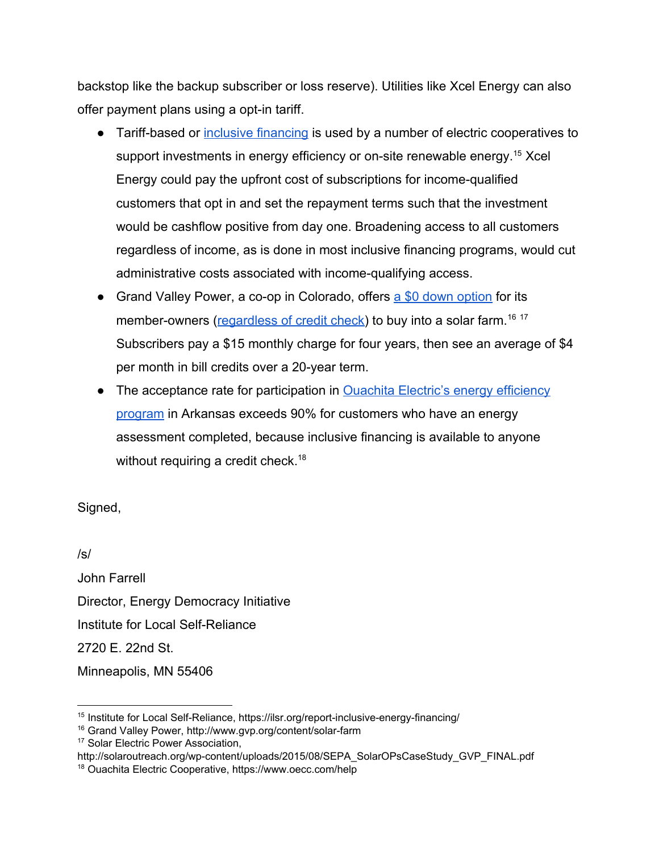backstop like the backup subscriber or loss reserve). Utilities like Xcel Energy can also offer payment plans using a opt-in tariff.

- Tariff-based or [inclusive financing](https://ilsr.org/report-inclusive-energy-financing/) is used by a number of electric cooperatives to support investments in energy efficiency or on-site renewable energy.<sup>15</sup> Xcel Energy could pay the upfront cost of subscriptions for income-qualified customers that opt in and set the repayment terms such that the investment would be cashflow positive from day one. Broadening access to all customers regardless of income, as is done in most inclusive financing programs, would cut administrative costs associated with income-qualifying access.
- Grand Valley Power, a co-op in Colorado, offers [a \\$0 down option](http://www.gvp.org/content/solar-farm) for its member-owners ([regardless of credit check\)](http://solaroutreach.org/wp-content/uploads/2015/08/SEPA_SolarOPsCaseStudy_GVP_FINAL.pdf) to buy into a solar farm.<sup>16 17</sup> Subscribers pay a \$15 monthly charge for four years, then see an average of \$4 per month in bill credits over a 20-year term.
- The acceptance rate for participation in **[Ouachita Electric's energy efficiency](https://www.oecc.com/help)** [program](https://www.oecc.com/help) [in Arkansas](https://www.oecc.com/help) exceeds 90% for customers who have an energy assessment completed, because inclusive financing is available to anyone without requiring a credit check.<sup>18</sup>

Signed,

/s/ John Farrell Director, Energy Democracy Initiative Institute for Local Self-Reliance 2720 E. 22nd St. Minneapolis, MN 55406

<sup>&</sup>lt;sup>15</sup> Institute for Local Self-Reliance, https://ilsr.org/report-inclusive-energy-financing/

<sup>16</sup> Grand Valley Power, http://www.gvp.org/content/solar-farm

<sup>&</sup>lt;sup>17</sup> Solar Electric Power Association,

http://solaroutreach.org/wp-content/uploads/2015/08/SEPA\_SolarOPsCaseStudy\_GVP\_FINAL.pdf

<sup>18</sup> Ouachita Electric Cooperative, https://www.oecc.com/help